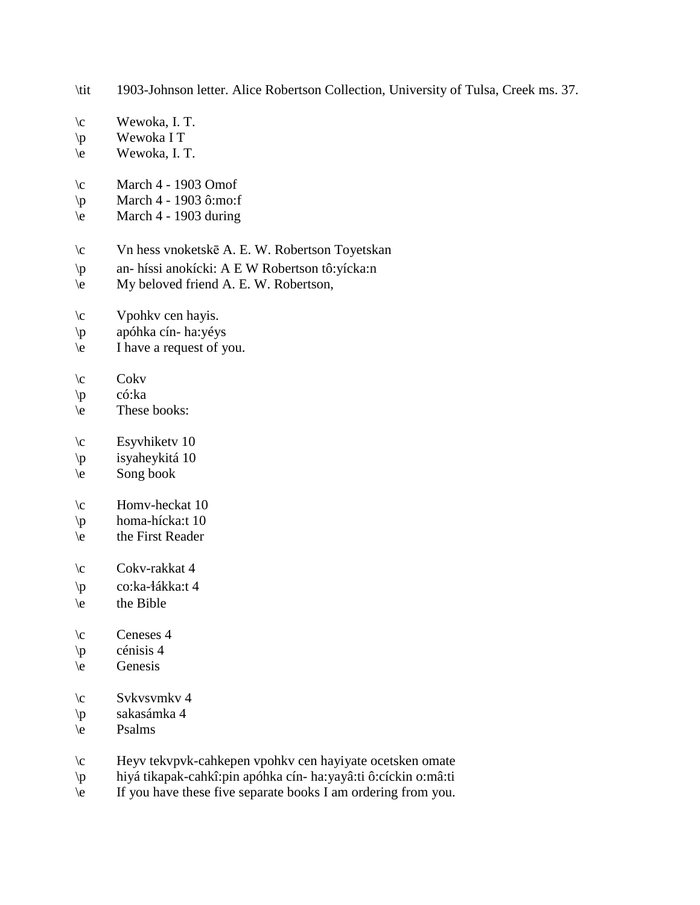- \tit 1903-Johnson letter. Alice Robertson Collection, University of Tulsa, Creek ms. 37.
- $\c$  Wewoka, I. T.
- \p Wewoka I T
- \e Wewoka, I. T.
- $\c$  March 4 1903 Omof
- \p March 4 1903 ô:mo:f
- $\text{March } 4 1903 \text{ during}$
- \c Vn hess vnoketskē A. E. W. Robertson Toyetskan
- \p an- híssi anokícki: A E W Robertson tô:yícka:n
- \e My beloved friend A. E. W. Robertson,
- \c Vpohkv cen hayis.
- \p apóhka cín- ha:yéys
- \e I have a request of you.
- $\operatorname{c}$  Cokv
- \p có:ka
- \e These books:
- $\c$  Esyvhiketv 10
- \p isyaheykitá 10
- $\begin{cases}$  Song book
- $\c$  Homv-heckat 10
- \p homa-hícka:t 10
- \e the First Reader
- \c Cokv-rakkat 4
- \p co:ka-!ákka:t 4
- \e the Bible
- $\c$  Ceneses 4
- $\pi$  cénisis 4
- \e Genesis
- $\c$  Svkvsvmkv 4
- \p sakasámka 4
- \e Psalms
- \c Heyv tekvpvk-cahkepen vpohkv cen hayiyate ocetsken omate
- \p hiyá tikapak-cahkî:pin apóhka cín- ha:yayâ:ti ô:cíckin o:mâ:ti
- \e If you have these five separate books I am ordering from you.